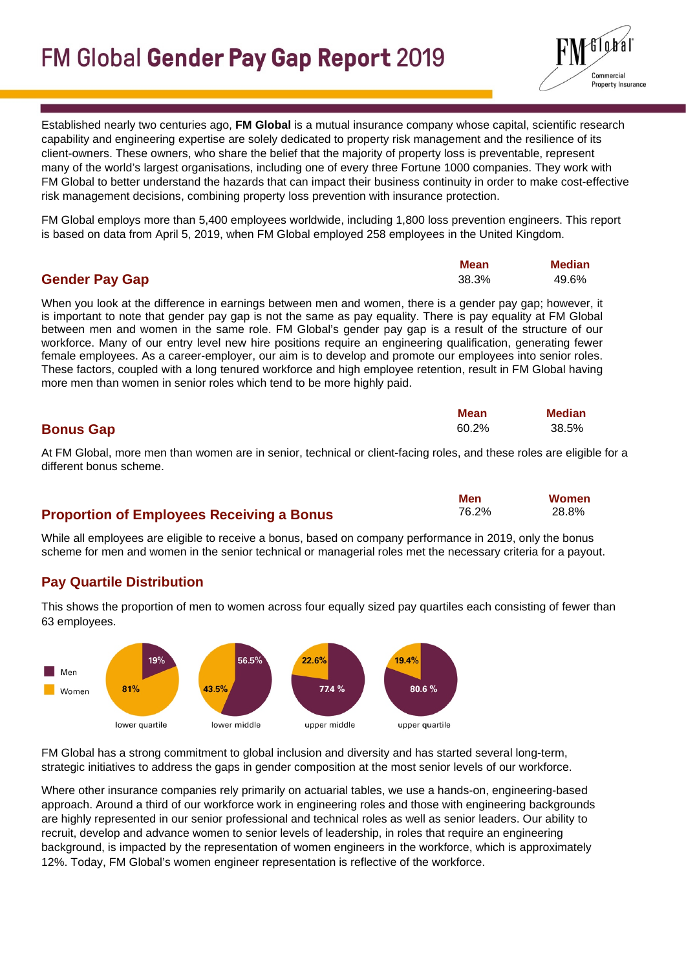

Established nearly two centuries ago, **FM Global** is a mutual insurance company whose capital, scientific research capability and engineering expertise are solely dedicated to property risk management and the resilience of its client-owners. These owners, who share the belief that the majority of property loss is preventable, represent many of the world's largest organisations, including one of every three Fortune 1000 companies. They work with FM Global to better understand the hazards that can impact their business continuity in order to make cost-effective risk management decisions, combining property loss prevention with insurance protection.

FM Global employs more than 5,400 employees worldwide, including 1,800 loss prevention engineers. This report is based on data from April 5, 2019, when FM Global employed 258 employees in the United Kingdom.

|                       | Mean  | <b>Median</b> |
|-----------------------|-------|---------------|
| <b>Gender Pay Gap</b> | 38.3% | 49.6%         |

When you look at the difference in earnings between men and women, there is a gender pay gap; however, it is important to note that gender pay gap is not the same as pay equality. There is pay equality at FM Global between men and women in the same role. FM Global's gender pay gap is a result of the structure of our workforce. Many of our entry level new hire positions require an engineering qualification, generating fewer female employees. As a career-employer, our aim is to develop and promote our employees into senior roles. These factors, coupled with a long tenured workforce and high employee retention, result in FM Global having more men than women in senior roles which tend to be more highly paid.

|                  | Mean  | <b>Median</b> |
|------------------|-------|---------------|
| <b>Bonus Gap</b> | 60.2% | 38.5%         |

At FM Global, more men than women are in senior, technical or client-facing roles, and these roles are eligible for a different bonus scheme.

> **Men** 76.2%

 **Women** 28.8%

## **Proportion of Employees Receiving a Bonus**

While all employees are eligible to receive a bonus, based on company performance in 2019, only the bonus scheme for men and women in the senior technical or managerial roles met the necessary criteria for a payout.

## **Pay Quartile Distribution**

This shows the proportion of men to women across four equally sized pay quartiles each consisting of fewer than 63 employees.



FM Global has a strong commitment to global inclusion and diversity and has started several long-term, strategic initiatives to address the gaps in gender composition at the most senior levels of our workforce.

Where other insurance companies rely primarily on actuarial tables, we use a hands-on, [engineering-based](https://www.fmglobal.com/products-and-services/services/site-evaluations)  [approach.](https://www.fmglobal.com/products-and-services/services/site-evaluations) Around a third of our workforce work in engineering roles and those with engineering backgrounds are highly represented in our senior professional and technical roles as well as senior leaders. Our ability to recruit, develop and advance women to senior levels of leadership, in roles that require an engineering background, is impacted by the representation of women engineers in the workforce, which is approximately 12%. Today, FM Global's women engineer representation is reflective of the workforce.